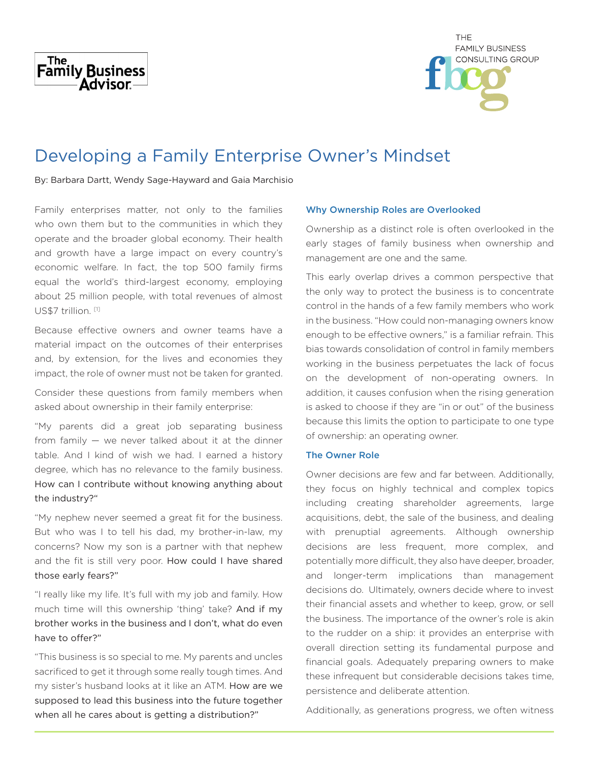



# Developing a Family Enterprise Owner's Mindset

By: Barbara Dartt, Wendy Sage-Hayward and Gaia Marchisio

Family enterprises matter, not only to the families who own them but to the communities in which they operate and the broader global economy. Their health and growth have a large impact on every country's economic welfare. In fact, the top 500 family firms equal the world's third-largest economy, employing about 25 million people, with total revenues of almost US\$7 trillion. [1]

Because effective owners and owner teams have a material impact on the outcomes of their enterprises and, by extension, for the lives and economies they impact, the role of owner must not be taken for granted.

Consider these questions from family members when asked about ownership in their family enterprise:

"My parents did a great job separating business from family — we never talked about it at the dinner table. And I kind of wish we had. I earned a history degree, which has no relevance to the family business. How can I contribute without knowing anything about the industry?"

"My nephew never seemed a great fit for the business. But who was I to tell his dad, my brother-in-law, my concerns? Now my son is a partner with that nephew and the fit is still very poor. How could I have shared those early fears?"

"I really like my life. It's full with my job and family. How much time will this ownership 'thing' take? And if my brother works in the business and I don't, what do even have to offer?"

"This business is so special to me. My parents and uncles sacrificed to get it through some really tough times. And my sister's husband looks at it like an ATM. How are we supposed to lead this business into the future together when all he cares about is getting a distribution?"

### Why Ownership Roles are Overlooked

Ownership as a distinct role is often overlooked in the early stages of family business when ownership and management are one and the same.

This early overlap drives a common perspective that the only way to protect the business is to concentrate control in the hands of a few family members who work in the business. "How could non-managing owners know enough to be effective owners," is a familiar refrain. This bias towards consolidation of control in family members working in the business perpetuates the lack of focus on the development of non-operating owners. In addition, it causes confusion when the rising generation is asked to choose if they are "in or out" of the business because this limits the option to participate to one type of ownership: an operating owner.

# The Owner Role

Owner decisions are few and far between. Additionally, they focus on highly technical and complex topics including creating shareholder agreements, large acquisitions, debt, the sale of the business, and dealing with prenuptial agreements. Although ownership decisions are less frequent, more complex, and potentially more difficult, they also have deeper, broader, and longer-term implications than management decisions do. Ultimately, owners decide where to invest their financial assets and whether to keep, grow, or sell the business. The importance of the owner's role is akin to the rudder on a ship: it provides an enterprise with overall direction setting its fundamental purpose and financial goals. Adequately preparing owners to make these infrequent but considerable decisions takes time, persistence and deliberate attention.

Additionally, as generations progress, we often witness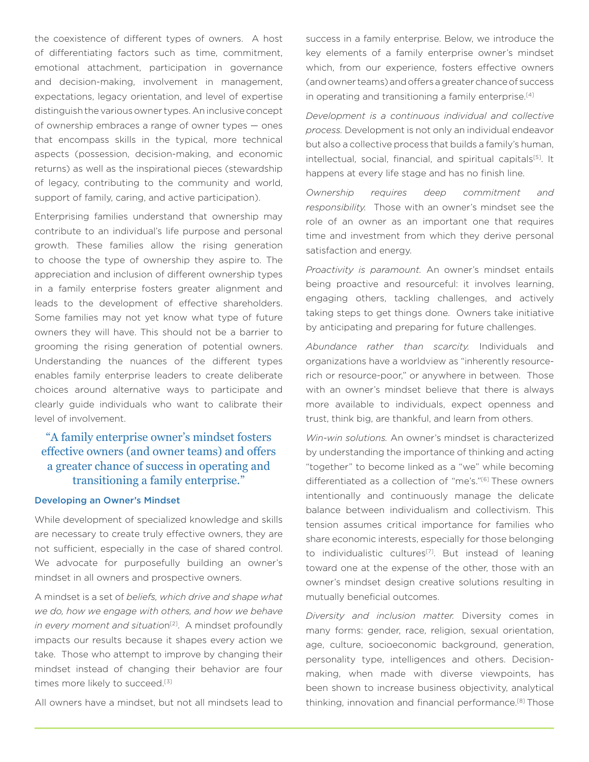the coexistence of different types of owners. A host of differentiating factors such as time, commitment, emotional attachment, participation in governance and decision-making, involvement in management, expectations, legacy orientation, and level of expertise distinguish the various owner types. An inclusive concept of ownership embraces a range of owner types — ones that encompass skills in the typical, more technical aspects (possession, decision-making, and economic returns) as well as the inspirational pieces (stewardship of legacy, contributing to the community and world, support of family, caring, and active participation).

Enterprising families understand that ownership may contribute to an individual's life purpose and personal growth. These families allow the rising generation to choose the type of ownership they aspire to. The appreciation and inclusion of different ownership types in a family enterprise fosters greater alignment and leads to the development of effective shareholders. Some families may not yet know what type of future owners they will have. This should not be a barrier to grooming the rising generation of potential owners. Understanding the nuances of the different types enables family enterprise leaders to create deliberate choices around alternative ways to participate and clearly guide individuals who want to calibrate their level of involvement.

# "A family enterprise owner's mindset fosters effective owners (and owner teams) and offers a greater chance of success in operating and transitioning a family enterprise."

#### Developing an Owner's Mindset

While development of specialized knowledge and skills are necessary to create truly effective owners, they are not sufficient, especially in the case of shared control. We advocate for purposefully building an owner's mindset in all owners and prospective owners.

A mindset is a set of *beliefs, which drive and shape what we do, how we engage with others, and how we behave in every moment and situation*<sup>[2]</sup>. A mindset profoundly impacts our results because it shapes every action we take. Those who attempt to improve by changing their mindset instead of changing their behavior are four times more likely to succeed.<sup>[3]</sup>

All owners have a mindset, but not all mindsets lead to

success in a family enterprise. Below, we introduce the key elements of a family enterprise owner's mindset which, from our experience, fosters effective owners (and owner teams) and offers a greater chance of success in operating and transitioning a family enterprise.<sup>[4]</sup>

*Development is a continuous individual and collective process.* Development is not only an individual endeavor but also a collective process that builds a family's human, intellectual, social, financial, and spiritual capitals<sup>[5]</sup>. It happens at every life stage and has no finish line.

*Ownership requires deep commitment and responsibility.* Those with an owner's mindset see the role of an owner as an important one that requires time and investment from which they derive personal satisfaction and energy.

*Proactivity is paramount.* An owner's mindset entails being proactive and resourceful: it involves learning, engaging others, tackling challenges, and actively taking steps to get things done. Owners take initiative by anticipating and preparing for future challenges.

*Abundance rather than scarcity.* Individuals and organizations have a worldview as "inherently resourcerich or resource-poor," or anywhere in between. Those with an owner's mindset believe that there is always more available to individuals, expect openness and trust, think big, are thankful, and learn from others.

*Win-win solutions.* An owner's mindset is characterized by understanding the importance of thinking and acting "together" to become linked as a "we" while becoming differentiated as a collection of "me's."<sup>[6]</sup> These owners intentionally and continuously manage the delicate balance between individualism and collectivism. This tension assumes critical importance for families who share economic interests, especially for those belonging to individualistic cultures<sup>[7]</sup>. But instead of leaning toward one at the expense of the other, those with an owner's mindset design creative solutions resulting in mutually beneficial outcomes.

*Diversity and inclusion matter.* Diversity comes in many forms: gender, race, religion, sexual orientation, age, culture, socioeconomic background, generation, personality type, intelligences and others. Decisionmaking, when made with diverse viewpoints, has been shown to increase business objectivity, analytical thinking, innovation and financial performance.[8] Those